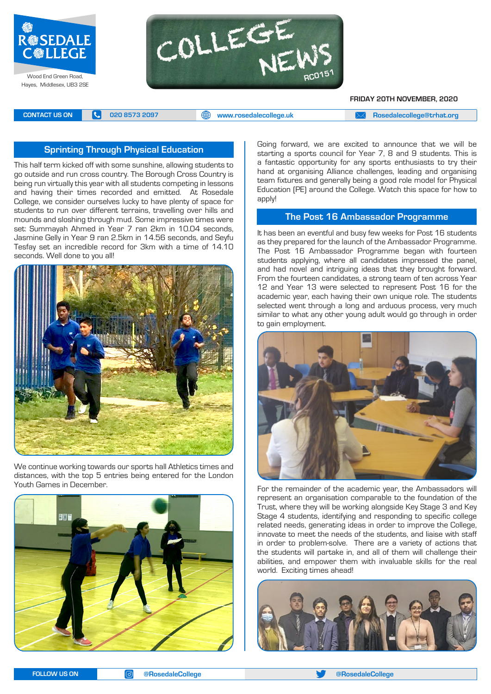



**FRIDAY 20TH NOVEMBER, 2020**

**CONTACT US ON <b>C** 020 8573 2097 **C** 020 8573 2097 **CONTACT US ON EXAM** A posedalecollege@trhat.org

### **Sprinting Through Physical Education**

This half term kicked off with some sunshine, allowing students to go outside and run cross country. The Borough Cross Country is being run virtually this year with all students competing in lessons and having their times recorded and emitted. At Rosedale College, we consider ourselves lucky to have plenty of space for students to run over different terrains, travelling over hills and mounds and sloshing through mud. Some impressive times were set: Summayah Ahmed in Year 7 ran 2km in 10.04 seconds, Jasmine Gelly in Year 9 ran 2.5km in 14.56 seconds, and Seyfu Tesfay set an incredible record for 3km with a time of 14.10 seconds. Well done to you all!



We continue working towards our sports hall Athletics times and distances, with the top 5 entries being entered for the London Youth Games in December.



Going forward, we are excited to announce that we will be starting a sports council for Year 7, 8 and 9 students. This is a fantastic opportunity for any sports enthusiasts to try their hand at organising Alliance challenges, leading and organising team fixtures and generally being a good role model for Physical Education (PE) around the College. Watch this space for how to apply!

#### **The Post 16 Ambassador Programme**

It has been an eventful and busy few weeks for Post 16 students as they prepared for the launch of the Ambassador Programme. The Post 16 Ambassador Programme began with fourteen students applying, where all candidates impressed the panel, and had novel and intriguing ideas that they brought forward. From the fourteen candidates, a strong team of ten across Year 12 and Year 13 were selected to represent Post 16 for the academic year, each having their own unique role. The students selected went through a long and arduous process, very much similar to what any other young adult would go through in order to gain employment.



For the remainder of the academic year, the Ambassadors will represent an organisation comparable to the foundation of the Trust, where they will be working alongside Key Stage 3 and Key Stage 4 students, identifying and responding to specific college related needs, generating ideas in order to improve the College, innovate to meet the needs of the students, and liaise with staff in order to problem-solve. There are a variety of actions that the students will partake in, and all of them will challenge their abilities, and empower them with invaluable skills for the real world. Exciting times ahead!